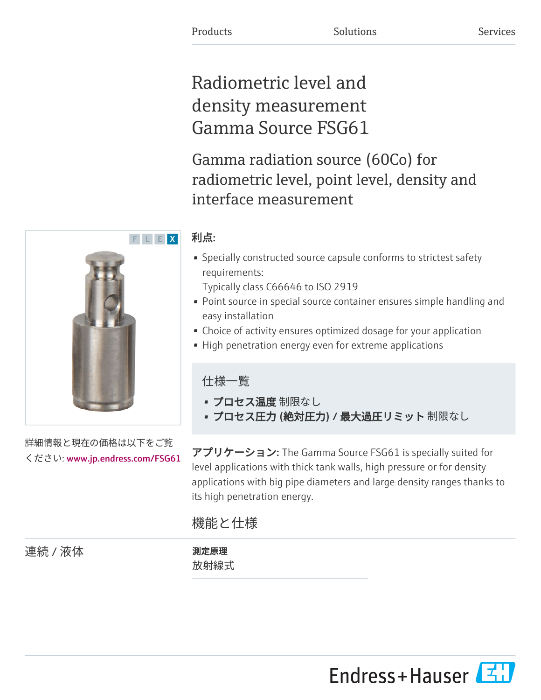# Radiometric level and density measurement Gamma Source FSG61

Gamma radiation source (60Co) for radiometric level, point level, density and interface measurement

# 利点:

• Specially constructed source capsule conforms to strictest safety requirements:

Typically class C66646 to ISO 2919

- Point source in special source container ensures simple handling and easy installation
- Choice of activity ensures optimized dosage for your application
- High penetration energy even for extreme applications

仕様一覧

- プロセス温度 制限なし
- プロセス圧力 (絶対圧力) / 最大過圧リミット 制限なし

アプリケーション: The Gamma Source FSG61 is specially suited for level applications with thick tank walls, high pressure or for density applications with big pipe diameters and large density ranges thanks to its high penetration energy.

# 機能と仕様

連続 / 液体 オンライン リンクス 測定原理

放射線式



詳細情報と現在の価格は以下をご覧

ください: [www.jp.endress.com/FSG61](https://www.jp.endress.com/FSG61)

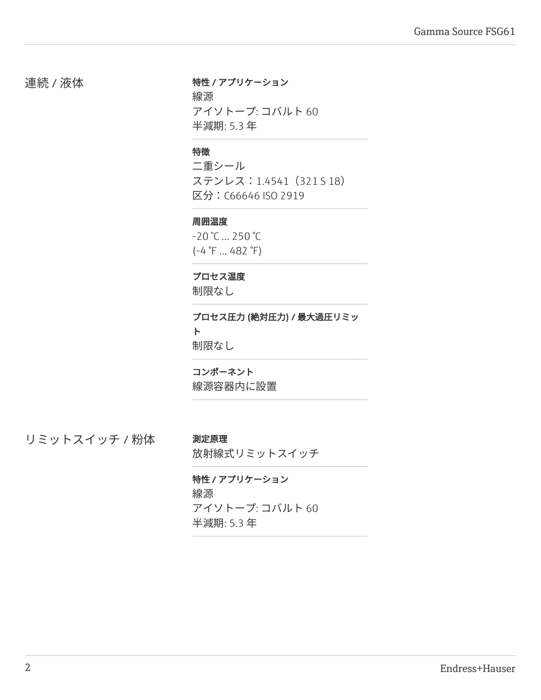連続 / 液体 インコン 特性 / アプリケーション

線源 アイソトープ: コバルト 60 半減期: 5.3 年

### 特徴

二重シール ステンレス:1.4541(321 S 18) 区分:C66646 ISO 2919

#### 周囲温度

-20 °C ... 250 °C  $(-4 \degree F ... 482 \degree F)$ 

# プロセス温度

制限なし

プロセス圧力 (絶対圧力) / 最大過圧リミッ ト 制限なし

### コンポーネント

線源容器内に設置

リミットスイッチ / 粉体 測定原理

放射線式リミットスイッチ

# 特性 / アプリケーション 線源

アイソトープ: コバルト 60 半減期: 5.3 年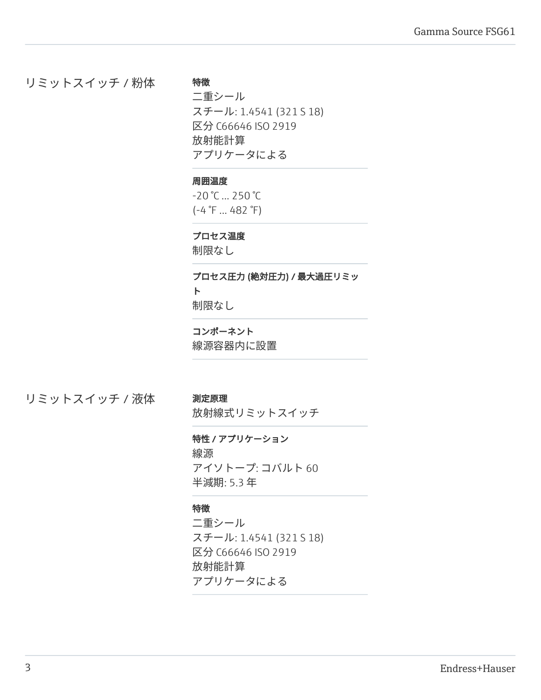リミットスイッチ / 粉体

二重シール スチール: 1.4541 (321 S 18) 区分 C66646 ISO 2919 放射能計算 アプリケータによる

# 周囲温度

特徴

-20 °C ... 250 °C (-4 °F ... 482 °F)

### プロセス温度

制限なし

# プロセス圧力 (絶対圧力) / 最大過圧リミッ ト

制限なし

# コンポーネント

線源容器内に設置

リミットスイッチ / 液体 測定原理

放射線式リミットスイッチ

# 特性 / アプリケーション

線源 アイソトープ: コバルト 60 半減期: 5.3 年

# 特徴

二重シール スチール: 1.4541 (321 S 18) 区分 C66646 ISO 2919 放射能計算 アプリケータによる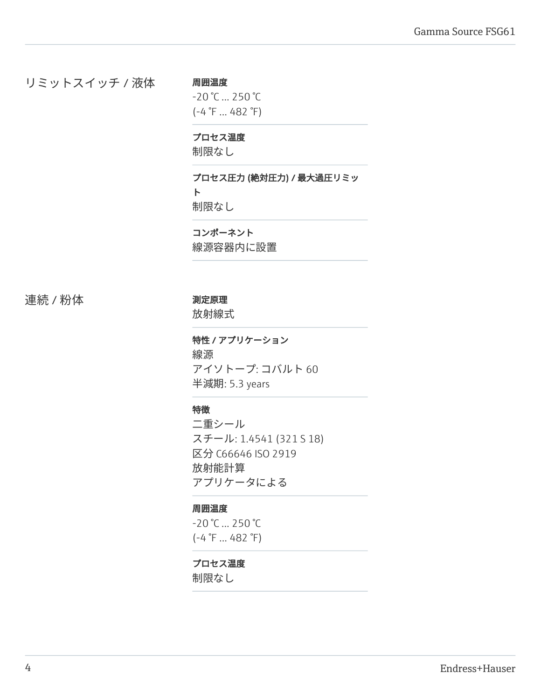# リミットスイッチ / 液体

周囲温度  $-20$  °C  $...$  250 °C (-4 °F ... 482 °F)

# プロセス温度

制限なし

プロセス圧力 (絶対圧力) / 最大過圧リミッ ト 制限なし

コンポーネント 線源容器内に設置

連続 / 粉体 オンファイン リンク 測定原理

放射線式

特性 / アプリケーション 線源 アイソトープ: コバルト 60 半減期: 5.3 years

# 特徴

二重シール スチール: 1.4541 (321 S 18) 区分 C66646 ISO 2919 放射能計算 アプリケータによる

#### 周囲温度

-20 °C ... 250 °C (-4 °F ... 482 °F)

# プロセス温度

制限なし